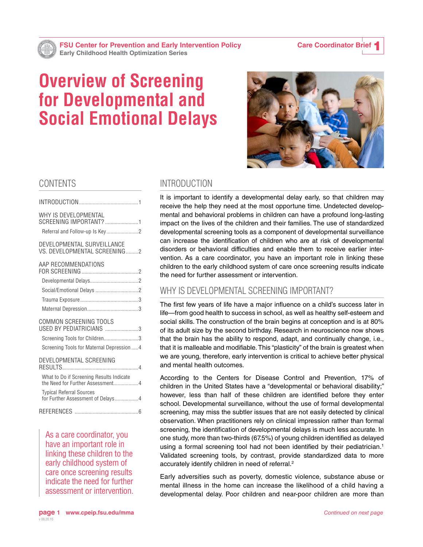# **Overview of Screening for Developmental and Social Emotional Delays**



# CONTENTS

| WHY IS DEVELOPMENTAL<br>SCREENING IMPORTANT? 1                               |  |
|------------------------------------------------------------------------------|--|
| DEVELOPMENTAL SURVEILLANCE<br>VS. DEVELOPMENTAL SCREENING2                   |  |
| AAP RECOMMENDATIONS                                                          |  |
|                                                                              |  |
|                                                                              |  |
|                                                                              |  |
|                                                                              |  |
| COMMON SCREENING TOOLS<br>USED BY PEDIATRICIANS 3                            |  |
| Screening Tools for Children3                                                |  |
| Screening Tools for Maternal Depression  4                                   |  |
| DEVELOPMENTAL SCREENING                                                      |  |
| What to Do if Screening Results Indicate<br>the Need for Further Assessment4 |  |
| <b>Typical Referral Sources</b><br>for Further Assessment of Delays 4        |  |
|                                                                              |  |
|                                                                              |  |

As a care coordinator, you have an important role in linking these children to the early childhood system of care once screening results indicate the need for further assessment or intervention.

# INTRODUCTION

It is important to identify a developmental delay early, so that children may receive the help they need at the most opportune time. Undetected developmental and behavioral problems in children can have a profound long-lasting impact on the lives of the children and their families. The use of standardized developmental screening tools as a component of developmental surveillance can increase the identification of children who are at risk of developmental disorders or behavioral difficulties and enable them to receive earlier intervention. As a care coordinator, you have an important role in linking these children to the early childhood system of care once screening results indicate the need for further assessment or intervention.

## WHY IS DEVELOPMENTAL SCREENING IMPORTANT?

The first few years of life have a major influence on a child's success later in life—from good health to success in school, as well as healthy self-esteem and social skills. The construction of the brain begins at conception and is at 80% of its adult size by the second birthday. Research in neuroscience now shows that the brain has the ability to respond, adapt, and continually change, i.e., that it is malleable and modifiable. This "plasticity" of the brain is greatest when we are young, therefore, early intervention is critical to achieve better physical and mental health outcomes.

According to the Centers for Disease Control and Prevention, 17% of children in the United States have a "developmental or behavioral disability;" however, less than half of these children are identified before they enter school. Developmental surveillance, without the use of formal developmental screening, may miss the subtler issues that are not easily detected by clinical observation. When practitioners rely on clinical impression rather than formal screening, the identification of developmental delays is much less accurate. In one study, more than two-thirds (67.5%) of young children identified as delayed using a formal screening tool had not been identified by their pediatrician.<sup>1</sup> Validated screening tools, by contrast, provide standardized data to more accurately identify children in need of referral.<sup>2</sup>

Early adversities such as poverty, domestic violence, substance abuse or mental illness in the home can increase the likelihood of a child having a developmental delay. Poor children and near-poor children are more than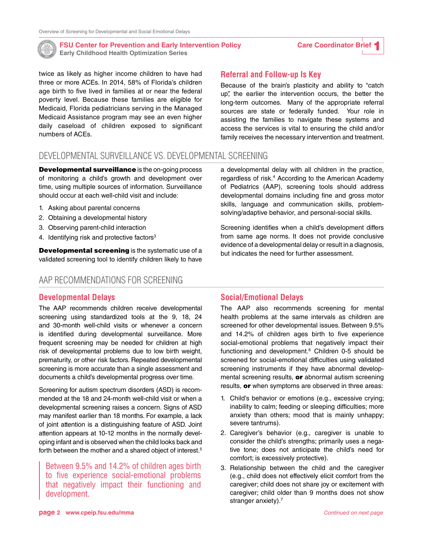<span id="page-1-0"></span>

twice as likely as higher income children to have had three or more ACEs. In 2014, 58% of Florida's children age birth to five lived in families at or near the federal poverty level. Because these families are eligible for Medicaid, Florida pediatricians serving in the Managed Medicaid Assistance program may see an even higher daily caseload of children exposed to significant numbers of ACEs.

### **Referral and Follow-up Is Key**

Because of the brain's plasticity and ability to "catch up", the earlier the intervention occurs, the better the long-term outcomes. Many of the appropriate referral sources are state or federally funded. Your role in assisting the families to navigate these systems and access the services is vital to ensuring the child and/or family receives the necessary intervention and treatment.

# DEVELOPMENTAL SURVEILLANCE VS. DEVELOPMENTAL SCREENING

**Developmental surveillance** is the on-going process of monitoring a child's growth and development over time, using multiple sources of information. Surveillance should occur at each well-child visit and include:

- 1. Asking about parental concerns
- 2. Obtaining a developmental history
- 3. Observing parent-child interaction
- 4. Identifying risk and protective factors<sup>3</sup>

**Developmental screening** is the systematic use of a validated screening tool to identify children likely to have

## AAP RECOMMENDATIONS FOR SCREENING

#### **Developmental Delays**

The AAP recommends children receive developmental screening using standardized tools at the 9, 18, 24 and 30-month well-child visits or whenever a concern is identified during developmental surveillance. More frequent screening may be needed for children at high risk of developmental problems due to low birth weight, prematurity, or other risk factors. Repeated developmental screening is more accurate than a single assessment and documents a child's developmental progress over time.

Screening for autism spectrum disorders (ASD) is recommended at the 18 and 24-month well-child visit or when a developmental screening raises a concern. Signs of ASD may manifest earlier than 18 months. For example, a lack of joint attention is a distinguishing feature of ASD. Joint attention appears at 10-12 months in the normally developing infant and is observed when the child looks back and forth between the mother and a shared object of interest.<sup>5</sup>

Between 9.5% and 14.2% of children ages birth to five experience social-emotional problems that negatively impact their functioning and development.

a developmental delay with all children in the practice, regardless of risk.<sup>4</sup> According to the American Academy of Pediatrics (AAP), screening tools should address developmental domains including fine and gross motor skills, language and communication skills, problemsolving/adaptive behavior, and personal-social skills.

Screening identifies when a child's development differs from same age norms. It does not provide conclusive evidence of a developmental delay or result in a diagnosis, but indicates the need for further assessment.

### **Social/Emotional Delays**

The AAP also recommends screening for mental health problems at the same intervals as children are screened for other developmental issues. Between 9.5% and 14.2% of children ages birth to five experience social-emotional problems that negatively impact their functioning and development.<sup>6</sup> Children 0-5 should be screened for social-emotional difficulties using validated screening instruments if they have abnormal developmental screening results, **or** abnormal autism screening results, or when symptoms are observed in three areas:

- 1. Child's behavior or emotions (e.g., excessive crying; inability to calm; feeding or sleeping difficulties; more anxiety than others; mood that is mainly unhappy; severe tantrums).
- 2. Caregiver's behavior (e.g., caregiver is unable to consider the child's strengths; primarily uses a negative tone; does not anticipate the child's need for comfort; is excessively protective).
- 3. Relationship between the child and the caregiver (e.g., child does not effectively elicit comfort from the caregiver; child does not share joy or excitement with caregiver; child older than 9 months does not show stranger anxiety).<sup>7</sup>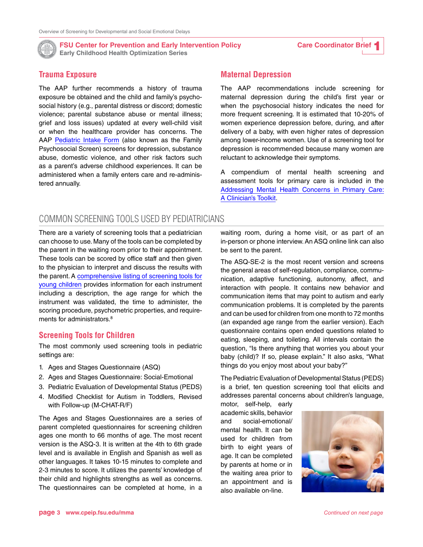<span id="page-2-0"></span>

#### **Trauma Exposure**

The AAP further recommends a history of trauma exposure be obtained and the child and family's psychosocial history (e.g., parental distress or discord; domestic violence; parental substance abuse or mental illness; grief and loss issues) updated at every well-child visit or when the healthcare provider has concerns. The AAP [Pediatric Intake Form](http://www.brightfutures.org/mentalhealth/pdf/professionals/ped_intake_form.pdf) (also known as the Family Psychosocial Screen) screens for depression, substance abuse, domestic violence, and other risk factors such as a parent's adverse childhood experiences. It can be administered when a family enters care and re-administered annually.

### **Maternal Depression**

The AAP recommendations include screening for maternal depression during the child's first year or when the psychosocial history indicates the need for more frequent screening. It is estimated that 10-20% of women experience depression before, during, and after delivery of a baby, with even higher rates of depression among lower-income women. Use of a screening tool for depression is recommended because many women are reluctant to acknowledge their symptoms.

A compendium of mental health screening and assessment tools for primary care is included in the [Addressing Mental Health Concerns in Primary Care:](https://www.aap.org/en-us/advocacy-and-policy/aap-health-initiatives/mental-health/documents/mh_screeningchart.pdf)  [A Clinician's Toolkit](https://www.aap.org/en-us/advocacy-and-policy/aap-health-initiatives/mental-health/documents/mh_screeningchart.pdf).

# COMMON SCREENING TOOLS USED BY PEDIATRICIANS

There are a variety of screening tools that a pediatrician can choose to use. Many of the tools can be completed by the parent in the waiting room prior to their appointment. These tools can be scored by office staff and then given to the physician to interpret and discuss the results with the parent. A [comprehensive listing of screening tools for](http://www.nectac.org/~pdfs/pubs/screening.pdf.)  [young children](http://www.nectac.org/~pdfs/pubs/screening.pdf.) provides information for each instrument including a description, the age range for which the instrument was validated, the time to administer, the scoring procedure, psychometric properties, and requirements for administrators.<sup>8</sup>

### **Screening Tools for Children**

The most commonly used screening tools in pediatric settings are:

- 1. Ages and Stages Questionnaire (ASQ)
- 2. Ages and Stages Questionnaire: Social-Emotional
- 3. Pediatric Evaluation of Developmental Status (PEDS)
- 4. Modified Checklist for Autism in Toddlers, Revised with Follow-up (M-CHAT-R/F)

The Ages and Stages Questionnaires are a series of parent completed questionnaires for screening children ages one month to 66 months of age. The most recent version is the ASQ-3. It is written at the 4th to 6th grade level and is available in English and Spanish as well as other languages. It takes 10-15 minutes to complete and 2-3 minutes to score. It utilizes the parents' knowledge of their child and highlights strengths as well as concerns. The questionnaires can be completed at home, in a waiting room, during a home visit, or as part of an in-person or phone interview. An ASQ online link can also be sent to the parent.

The ASQ-SE-2 is the most recent version and screens the general areas of self-regulation, compliance, communication, adaptive functioning, autonomy, affect, and interaction with people. It contains new behavior and communication items that may point to autism and early communication problems. It is completed by the parents and can be used for children from one month to 72 months (an expanded age range from the earlier version). Each questionnaire contains open ended questions related to eating, sleeping, and toileting. All intervals contain the question, "Is there anything that worries you about your baby (child)? If so, please explain." It also asks, "What things do you enjoy most about your baby?"

The Pediatric Evaluation of Developmental Status (PEDS) is a brief, ten question screening tool that elicits and addresses parental concerns about children's language,

motor, self-help, early academic skills, behavior and social-emotional/ mental health. It can be used for children from birth to eight years of age. It can be completed by parents at home or in the waiting area prior to an appointment and is also available on-line.

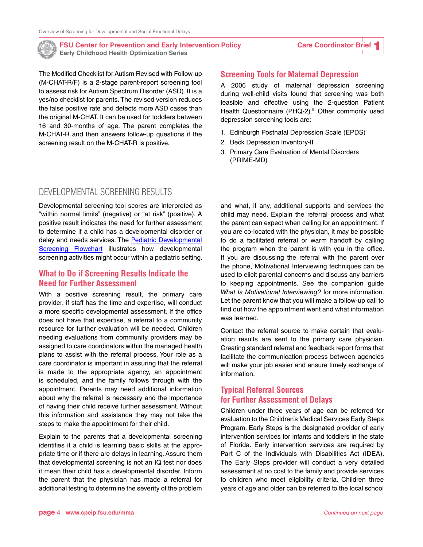<span id="page-3-0"></span>

The Modified Checklist for Autism Revised with Follow-up (M-CHAT-R/F) is a 2-stage parent-report screening tool to assess risk for Autism Spectrum Disorder (ASD). It is a yes/no checklist for parents. The revised version reduces the false positive rate and detects more ASD cases than the original M-CHAT. It can be used for toddlers between 16 and 30-months of age. The parent completes the M-CHAT-R and then answers follow-up questions if the screening result on the M-CHAT-R is positive.

#### **Screening Tools for Maternal Depression**

A 2006 study of maternal depression screening during well-child visits found that screening was both feasible and effective using the 2-question Patient Health Questionnaire (PHQ-2).<sup>9</sup> Other commonly used depression screening tools are:

- 1. Edinburgh Postnatal Depression Scale (EPDS)
- 2. Beck Depression Inventory-II
- 3. Primary Care Evaluation of Mental Disorders (PRIME-MD)

### DEVELOPMENTAL SCREENING RESULTS

Developmental screening tool scores are interpreted as "within normal limits" (negative) or "at risk" (positive). A positive result indicates the need for further assessment to determine if a child has a developmental disorder or delay and needs services. The [Pediatric Developmental](http://www.cdc.gov/ncbddd/childdevelopment/documents/Screening-Chart.pdf)  [Screening Flowchart](http://www.cdc.gov/ncbddd/childdevelopment/documents/Screening-Chart.pdf) illustrates how developmental screening activities might occur within a pediatric setting.

### **What to Do if Screening Results Indicate the Need for Further Assessment**

With a positive screening result, the primary care provider, if staff has the time and expertise, will conduct a more specific developmental assessment. If the office does not have that expertise, a referral to a community resource for further evaluation will be needed. Children needing evaluations from community providers may be assigned to care coordinators within the managed health plans to assist with the referral process. Your role as a care coordinator is important in assuring that the referral is made to the appropriate agency, an appointment is scheduled, and the family follows through with the appointment. Parents may need additional information about why the referral is necessary and the importance of having their child receive further assessment. Without this information and assistance they may not take the steps to make the appointment for their child.

Explain to the parents that a developmental screening identifies if a child is learning basic skills at the appropriate time or if there are delays in learning. Assure them that developmental screening is not an IQ test nor does it mean their child has a developmental disorder. Inform the parent that the physician has made a referral for additional testing to determine the severity of the problem

and what, if any, additional supports and services the child may need. Explain the referral process and what the parent can expect when calling for an appointment. If you are co-located with the physician, it may be possible to do a facilitated referral or warm handoff by calling the program when the parent is with you in the office. If you are discussing the referral with the parent over the phone, Motivational Interviewing techniques can be used to elicit parental concerns and discuss any barriers to keeping appointments. See the companion guide *What Is Motivational Interviewing?* for more information. Let the parent know that you will make a follow-up call to find out how the appointment went and what information was learned.

Contact the referral source to make certain that evaluation results are sent to the primary care physician. Creating standard referral and feedback report forms that facilitate the communication process between agencies will make your job easier and ensure timely exchange of information.

### **Typical Referral Sources for Further Assessment of Delays**

Children under three years of age can be referred for evaluation to the Children's Medical Services Early Steps Program. Early Steps is the designated provider of early intervention services for infants and toddlers in the state of Florida. Early intervention services are required by Part C of the Individuals with Disabilities Act (IDEA). The Early Steps provider will conduct a very detailed assessment at no cost to the family and provide services to children who meet eligibility criteria. Children three years of age and older can be referred to the local school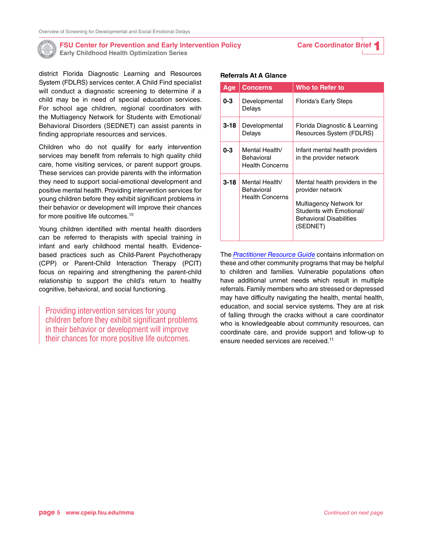

district Florida Diagnostic Learning and Resources System (FDLRS) services center. A Child Find specialist will conduct a diagnostic screening to determine if a child may be in need of special education services. For school age children, regional coordinators with the Multiagency Network for Students with Emotional/ Behavioral Disorders (SEDNET) can assist parents in finding appropriate resources and services.

Children who do not qualify for early intervention services may benefit from referrals to high quality child care, home visiting services, or parent support groups. These services can provide parents with the information they need to support social-emotional development and positive mental health. Providing intervention services for young children before they exhibit significant problems in their behavior or development will improve their chances for more positive life outcomes.10

Young children identified with mental health disorders can be referred to therapists with special training in infant and early childhood mental health. Evidencebased practices such as Child-Parent Psychotherapy (CPP) or Parent-Child Interaction Therapy (PCIT) focus on repairing and strengthening the parent-child relationship to support the child's return to healthy cognitive, behavioral, and social functioning.

Providing intervention services for young children before they exhibit significant problems in their behavior or development will improve their chances for more positive life outcomes.

#### **Referrals At A Glance**

| Age     | <b>Concerns</b>                                        | Who to Refer to                                                                                                                                         |
|---------|--------------------------------------------------------|---------------------------------------------------------------------------------------------------------------------------------------------------------|
| $0 - 3$ | Developmental<br>Delays                                | <b>Florida's Early Steps</b>                                                                                                                            |
| 3-18    | Developmental<br>Delays                                | Florida Diagnostic & Learning<br>Resources System (FDLRS)                                                                                               |
| 0-3     | Mental Health/<br>Behavioral<br><b>Health Concerns</b> | Infant mental health providers<br>in the provider network                                                                                               |
| 3-18    | Mental Health/<br>Behavioral<br><b>Health Concerns</b> | Mental health providers in the<br>provider network<br>Multiagency Network for<br>Students with Emotional/<br><b>Behavioral Disabilities</b><br>(SEDNET) |

The *[Practitioner Resource Guide](http://cpeip.fsu.edu/mma/documents/ECHO%20Florida%20Practitioner%20Resource%20Guide.pdf)* contains information on these and other community programs that may be helpful to children and families. Vulnerable populations often have additional unmet needs which result in multiple referrals. Family members who are stressed or depressed may have difficulty navigating the health, mental health, education, and social service systems. They are at risk of falling through the cracks without a care coordinator who is knowledgeable about community resources, can coordinate care, and provide support and follow-up to ensure needed services are received.<sup>11</sup>